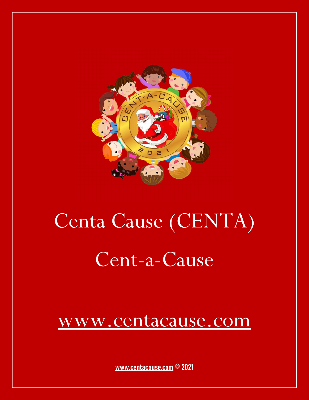

# Centa Cause (CENTA) Cent-a-Cause

### [www.centacause.com](https://centacause.com/)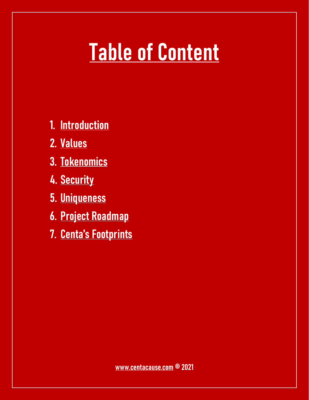### **Table of Content**

- **1. Introduction**
- **2. Values**
- **3. Tokenomics**
- **4. Security**
- **5. Uniqueness**
- **6. Project Roadmap**
- **7. Centa's Footprints**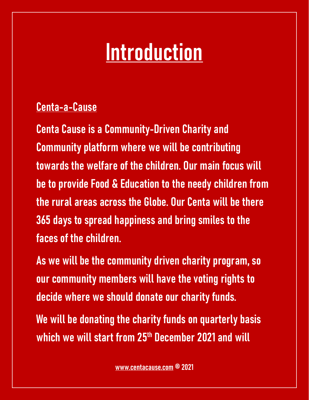### **Introduction**

#### **Centa-a-Cause**

**Centa Cause is a Community-Driven Charity and Community platform where we will be contributing towards the welfare of the children. Our main focus will be to provide Food & Education to the needy children from the rural areas across the Globe. Our Centa will be there 365 days to spread happiness and bring smiles to the faces of the children.** 

**As we will be the community driven charity program, so our community members will have the voting rights to decide where we should donate our charity funds. We will be donating the charity funds on quarterly basis which we will start from 25th December 2021 and will**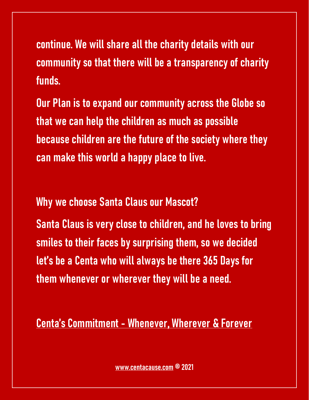**continue. We will share all the charity details with our community so that there will be a transparency of charity funds.**

**Our Plan is to expand our community across the Globe so that we can help the children as much as possible because children are the future of the society where they can make this world a happy place to live.** 

**Why we choose Santa Claus our Mascot?**

**Santa Claus is very close to children, and he loves to bring smiles to their faces by surprising them, so we decided let's be a Centa who will always be there 365 Days for them whenever or wherever they will be a need.** 

**Centa's Commitment - Whenever, Wherever & Forever**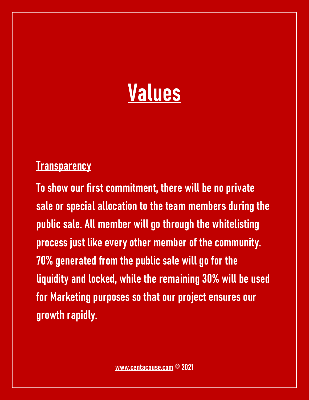

#### **Transparency**

**To show our first commitment, there will be no private sale or special allocation to the team members during the public sale. All member will go through the whitelisting process just like every other member of the community. 70% generated from the public sale will go for the liquidity and locked, while the remaining 30% will be used for Marketing purposes so that our project ensures our growth rapidly.**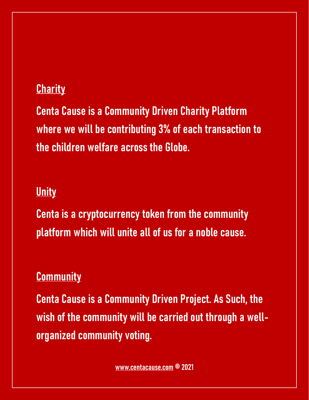#### **Charity**

**Centa Cause is a Community Driven Charity Platform where we will be contributing 3% of each transaction to the children welfare across the Globe.** 

#### **Unity**

**Centa is a cryptocurrency token from the community platform which will unite all of us for a noble cause.**

#### **Community**

**Centa Cause is a Community Driven Project. As Such, the wish of the community will be carried out through a wellorganized community voting.**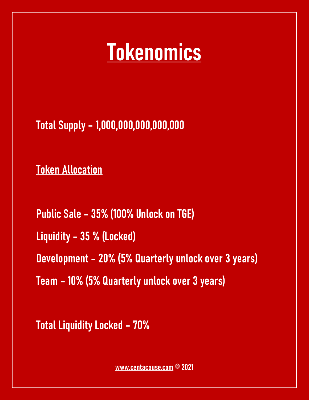### **Tokenomics**

**Total Supply – 1,000,000,000,000,000**

**Token Allocation** 

**Public Sale – 35% (100% Unlock on TGE) Liquidity – 35 % (Locked) Development – 20% (5% Quarterly unlock over 3 years) Team – 10% (5% Quarterly unlock over 3 years)**

**Total Liquidity Locked – 70%**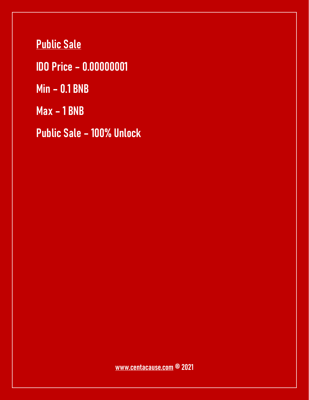**Public Sale** 

**IDO Price – 0.00000001**

**Min – 0.1 BNB** 

**Max – 1 BNB** 

**Public Sale – 100% Unlock**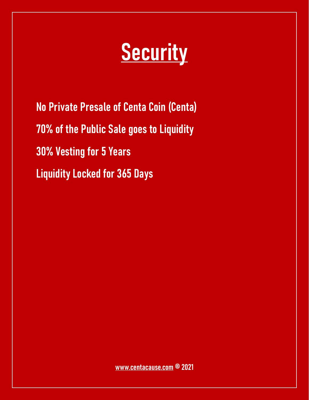### **Security**

**No Private Presale of Centa Coin (Centa) 70% of the Public Sale goes to Liquidity 30% Vesting for 5 Years Liquidity Locked for 365 Days**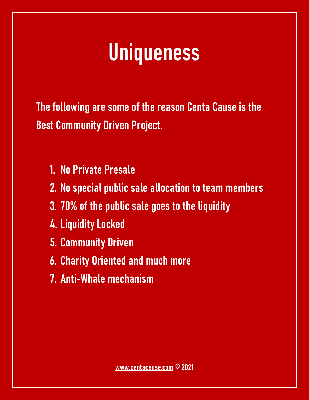### **Uniqueness**

**The following are some of the reason Centa Cause is the Best Community Driven Project.** 

- **1. No Private Presale**
- **2. No special public sale allocation to team members**
- **3. 70% of the public sale goes to the liquidity**
- **4. Liquidity Locked**
- **5. Community Driven**
- **6. Charity Oriented and much more**
- **7. Anti-Whale mechanism**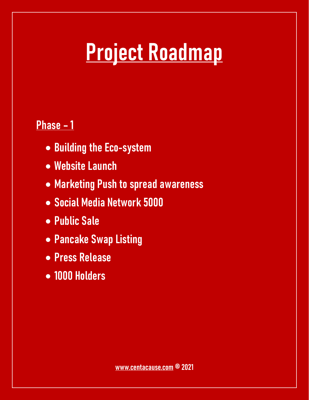## **Project Roadmap**

#### **Phase – 1**

- ∑ **Building the Eco-system**
- ∑ **Website Launch**
- ∑ **Marketing Push to spread awareness**
- ∑ **Social Media Network 5000**
- ∑ **Public Sale**
- ∑ **Pancake Swap Listing**
- ∑ **Press Release**
- ∑ **1000 Holders**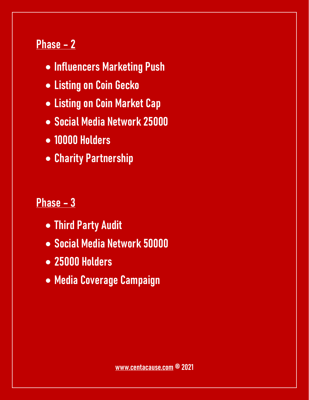#### **Phase – 2**

- ∑ **Influencers Marketing Push**
- ∑ **Listing on Coin Gecko**
- ∑ **Listing on Coin Market Cap**
- ∑ **Social Media Network 25000**
- ∑ **10000 Holders**
- ∑ **Charity Partnership**

#### **Phase – 3**

- ∑ **Third Party Audit**
- ∑ **Social Media Network 50000**
- ∑ **25000 Holders**
- ∑ **Media Coverage Campaign**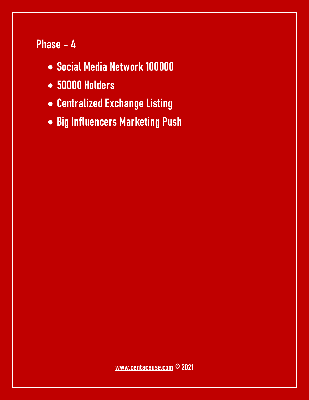### **Phase – 4**

- ∑ **Social Media Network 100000**
- ∑ **50000 Holders**
- ∑ **Centralized Exchange Listing**
- ∑ **Big Influencers Marketing Push**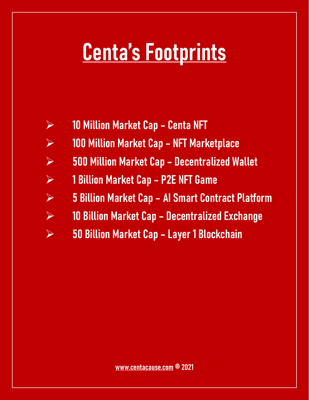### **Centa's Footprints**

- ÿ **10 Million Market Cap Centa NFT**
- ÿ **100 Million Market Cap NFT Marketplace**
- ÿ **500 Million Market Cap Decentralized Wallet**
- ÿ **1 Billion Market Cap P2E NFT Game**
- ÿ **5 Billion Market Cap AI Smart Contract Platform**
- ÿ **10 Billion Market Cap Decentralized Exchange**
- ÿ **50 Billion Market Cap Layer 1 Blockchain**